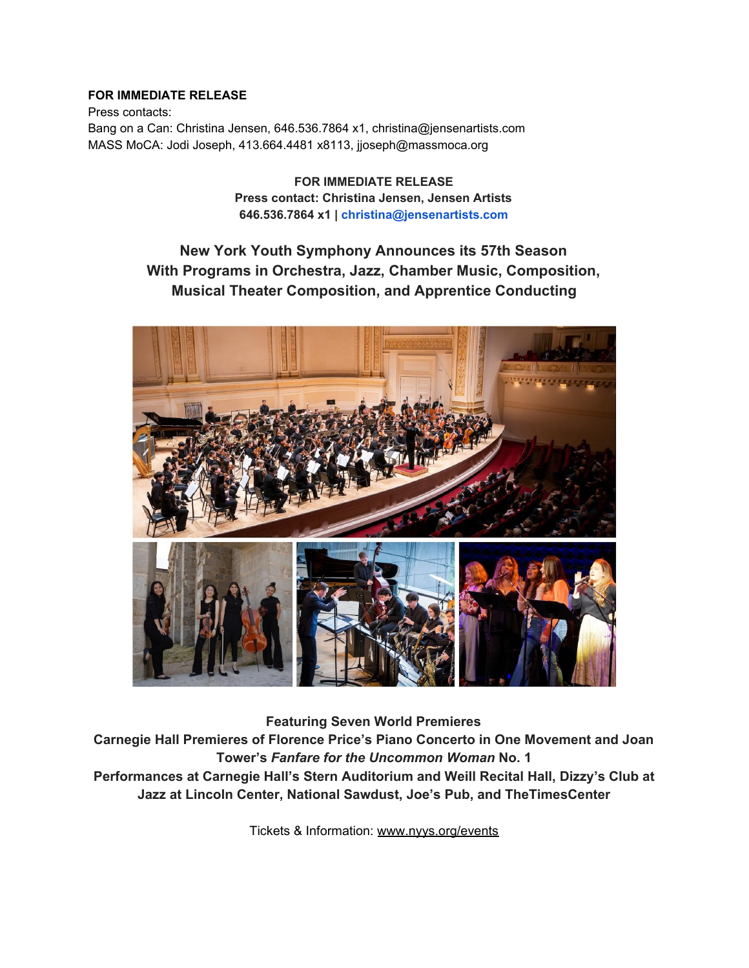# **FOR IMMEDIATE RELEASE**

Press contacts: Bang on a Can: Christina Jensen, 646.536.7864 x1, christina@jensenartists.com MASS MoCA: Jodi Joseph, 413.664.4481 x8113, jjoseph@massmoca.org

> **FOR IMMEDIATE RELEASE Press contact: Christina Jensen, Jensen Artists 646.536.7864 x1 | christina@jensenartists.com**

# **New York Youth Symphony Announces its 57th Season With Programs in Orchestra, Jazz, Chamber Music, Composition, Musical Theater Composition, and Apprentice Conducting**



**Featuring Seven World Premieres**

**Carnegie Hall Premieres of Florence Price's Piano Concerto in One Movement and Joan Tower's** *Fanfare for the Uncommon Woman* **No. 1 Performances at Carnegie Hall's Stern Auditorium and Weill Recital Hall, Dizzy's Club at Jazz at Lincoln Center, National Sawdust, Joe's Pub, and TheTimesCenter**

Tickets & Information: [www.nyys.org/events](https://u7061146.ct.sendgrid.net/wf/click?upn=84Em28S1K9SvtzcUtu04EvrLdhrhz0RQ6YNkHwQNHxWFJGJNK3QN28wLTPw3yGLi_DruDjhchMBr5xQkz3h1qcOnjZc-2BCsAVhraQ7DxYhbA2-2BHLQf-2BHKWaWi2FTM7QHo-2Fd7eCMDRMAhfd2mcWSs-2FpzNW9MmuPwV7rH-2FbDd7DdSSYyjm2ytqGz2CPdtUJwsn-2BHPGmL86-2B5EOFsA-2FF8CUWT8euHf8a89ZPIfkwHlgmTKEs-2BMGmZgm-2FOOvkXZhULl0-2B5gTZ-2B-2BZqVzCFNRtYf7gePVmGslaY7kWe4lT189LJF8qH2ZoRaaTP5nyQzKSln0tcYqa8n7h4nJ7JKdNQzatfTCIvbBZdeIVn5Xl9kb5pNIzlaE1Q9mrqGl6-2BfUJ-2BixH9Gi767MeCus39iIg-2B4GiVjceYaaCgdv1WrCdSyiQLJqwQ-3D)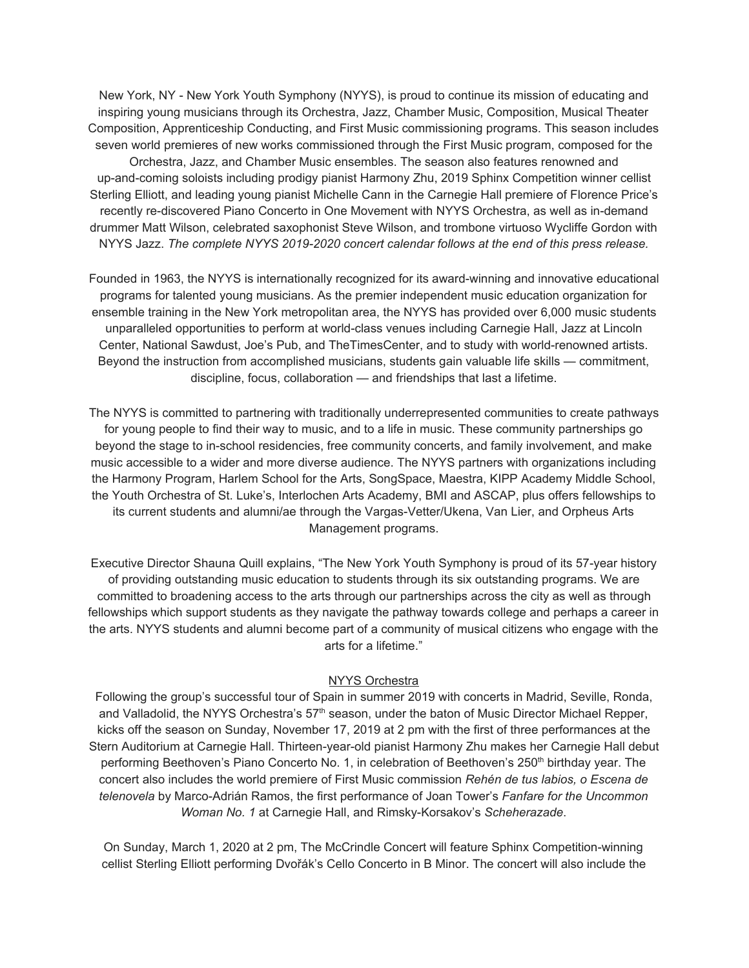New York, NY - New York Youth Symphony (NYYS), is proud to continue its mission of educating and inspiring young musicians through its Orchestra, Jazz, Chamber Music, Composition, Musical Theater Composition, Apprenticeship Conducting, and First Music commissioning programs. This season includes seven world premieres of new works commissioned through the First Music program, composed for the Orchestra, Jazz, and Chamber Music ensembles. The season also features renowned and up-and-coming soloists including prodigy pianist Harmony Zhu, 2019 Sphinx Competition winner cellist Sterling Elliott, and leading young pianist Michelle Cann in the Carnegie Hall premiere of Florence Price's recently re-discovered Piano Concerto in One Movement with NYYS Orchestra, as well as in-demand drummer Matt Wilson, celebrated saxophonist Steve Wilson, and trombone virtuoso Wycliffe Gordon with NYYS Jazz. *The complete NYYS 2019-2020 concert calendar follows at the end of this press release.*

Founded in 1963, the NYYS is internationally recognized for its award-winning and innovative educational programs for talented young musicians. As the premier independent music education organization for ensemble training in the New York metropolitan area, the NYYS has provided over 6,000 music students unparalleled opportunities to perform at world-class venues including Carnegie Hall, Jazz at Lincoln Center, National Sawdust, Joe's Pub, and TheTimesCenter, and to study with world-renowned artists. Beyond the instruction from accomplished musicians, students gain valuable life skills — commitment, discipline, focus, collaboration — and friendships that last a lifetime.

The NYYS is committed to partnering with traditionally underrepresented communities to create pathways for young people to find their way to music, and to a life in music. These community partnerships go beyond the stage to in-school residencies, free community concerts, and family involvement, and make music accessible to a wider and more diverse audience. The NYYS partners with organizations including the Harmony Program, Harlem School for the Arts, SongSpace, Maestra, KIPP Academy Middle School, the Youth Orchestra of St. Luke's, Interlochen Arts Academy, BMI and ASCAP, plus offers fellowships to its current students and alumni/ae through the Vargas-Vetter/Ukena, Van Lier, and Orpheus Arts Management programs.

Executive Director Shauna Quill explains, "The New York Youth Symphony is proud of its 57-year history of providing outstanding music education to students through its six outstanding programs. We are committed to broadening access to the arts through our partnerships across the city as well as through fellowships which support students as they navigate the pathway towards college and perhaps a career in the arts. NYYS students and alumni become part of a community of musical citizens who engage with the arts for a lifetime."

### NYYS Orchestra

Following the group's successful tour of Spain in summer 2019 with concerts in Madrid, Seville, Ronda, and Valladolid, the NYYS Orchestra's 57<sup>th</sup> season, under the baton of Music Director Michael Repper, kicks off the season on Sunday, November 17, 2019 at 2 pm with the first of three performances at the Stern Auditorium at Carnegie Hall. Thirteen-year-old pianist Harmony Zhu makes her Carnegie Hall debut performing Beethoven's Piano Concerto No. 1, in celebration of Beethoven's 250<sup>th</sup> birthday year. The concert also includes the world premiere of First Music commission *Rehén de tus labios, o Escena de telenovela* by Marco-Adrián Ramos, the first performance of Joan Tower's *Fanfare for the Uncommon Woman No. 1* at Carnegie Hall, and Rimsky-Korsakov's *Scheherazade*.

On Sunday, March 1, 2020 at 2 pm, The McCrindle Concert will feature Sphinx Competition-winning cellist Sterling Elliott performing Dvořák's Cello Concerto in B Minor. The concert will also include the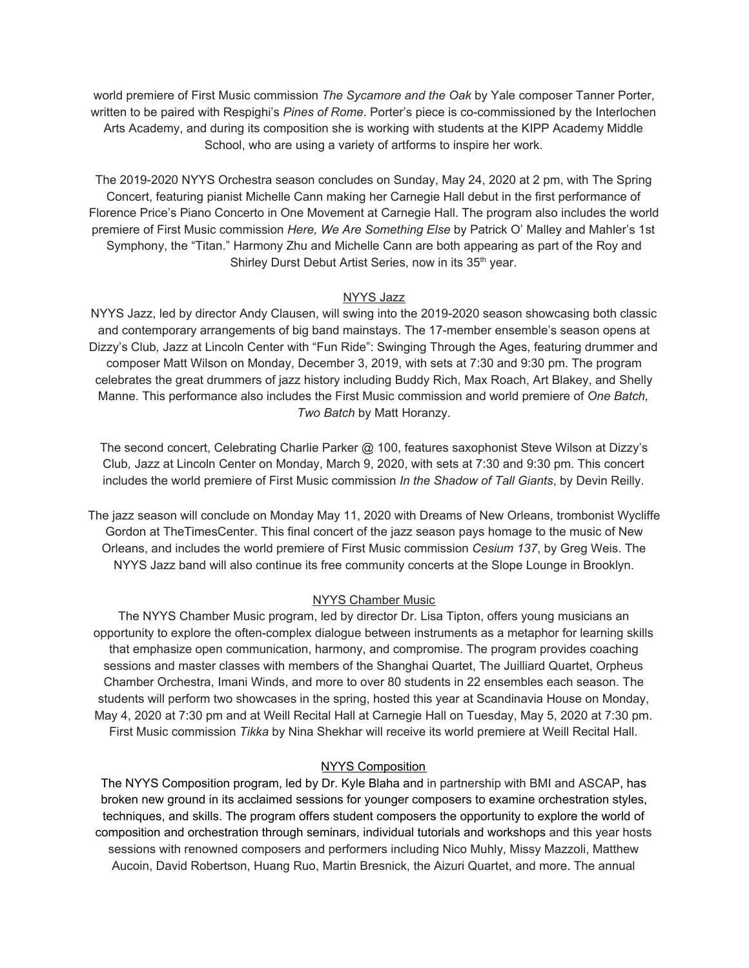world premiere of First Music commission *The Sycamore and the Oak* by Yale composer Tanner Porter, written to be paired with Respighi's *Pines of Rome*. Porter's piece is co-commissioned by the Interlochen Arts Academy, and during its composition she is working with students at the KIPP Academy Middle School, who are using a variety of artforms to inspire her work.

The 2019-2020 NYYS Orchestra season concludes on Sunday, May 24, 2020 at 2 pm, with The Spring Concert, featuring pianist Michelle Cann making her Carnegie Hall debut in the first performance of Florence Price's Piano Concerto in One Movement at Carnegie Hall. The program also includes the world premiere of First Music commission *Here, We Are Something Else* by Patrick O' Malley and Mahler's 1st Symphony, the "Titan." Harmony Zhu and Michelle Cann are both appearing as part of the Roy and Shirley Durst Debut Artist Series, now in its 35<sup>th</sup> year.

## NYYS Jazz

NYYS Jazz, led by director Andy Clausen, will swing into the 2019-2020 season showcasing both classic and contemporary arrangements of big band mainstays. The 17-member ensemble's season opens at Dizzy's Club*,* Jazz at Lincoln Center with "Fun Ride": Swinging Through the Ages, featuring drummer and composer Matt Wilson on Monday, December 3, 2019, with sets at 7:30 and 9:30 pm. The program celebrates the great drummers of jazz history including Buddy Rich, Max Roach, Art Blakey, and Shelly Manne. This performance also includes the First Music commission and world premiere of *One Batch, Two Batch* by Matt Horanzy.

The second concert, Celebrating Charlie Parker @ 100, features saxophonist Steve Wilson at Dizzy's Club*,* Jazz at Lincoln Center on Monday, March 9, 2020, with sets at 7:30 and 9:30 pm. This concert includes the world premiere of First Music commission *In the Shadow of Tall Giants*, by Devin Reilly.

The jazz season will conclude on Monday May 11, 2020 with Dreams of New Orleans, trombonist Wycliffe Gordon at TheTimesCenter. This final concert of the jazz season pays homage to the music of New Orleans, and includes the world premiere of First Music commission *Cesium 137*, by Greg Weis. The NYYS Jazz band will also continue its free community concerts at the Slope Lounge in Brooklyn.

# NYYS Chamber Music

The NYYS Chamber Music program, led by director Dr. Lisa Tipton, offers young musicians an opportunity to explore the often-complex dialogue between instruments as a metaphor for learning skills that emphasize open communication, harmony, and compromise. The program provides coaching sessions and master classes with members of the Shanghai Quartet, The Juilliard Quartet, Orpheus Chamber Orchestra, Imani Winds, and more to over 80 students in 22 ensembles each season. The students will perform two showcases in the spring, hosted this year at Scandinavia House on Monday, May 4, 2020 at 7:30 pm and at Weill Recital Hall at Carnegie Hall on Tuesday, May 5, 2020 at 7:30 pm. First Music commission *Tikka* by Nina Shekhar will receive its world premiere at Weill Recital Hall.

### NYYS Composition

The NYYS Composition program, led by Dr. Kyle Blaha and in partnership with BMI and ASCAP, has broken new ground in its acclaimed sessions for younger composers to examine orchestration styles, techniques, and skills. The program offers student composers the opportunity to explore the world of composition and orchestration through seminars, individual tutorials and workshops and this year hosts sessions with renowned composers and performers including Nico Muhly, Missy Mazzoli, Matthew Aucoin, David Robertson, Huang Ruo, Martin Bresnick, the Aizuri Quartet, and more. The annual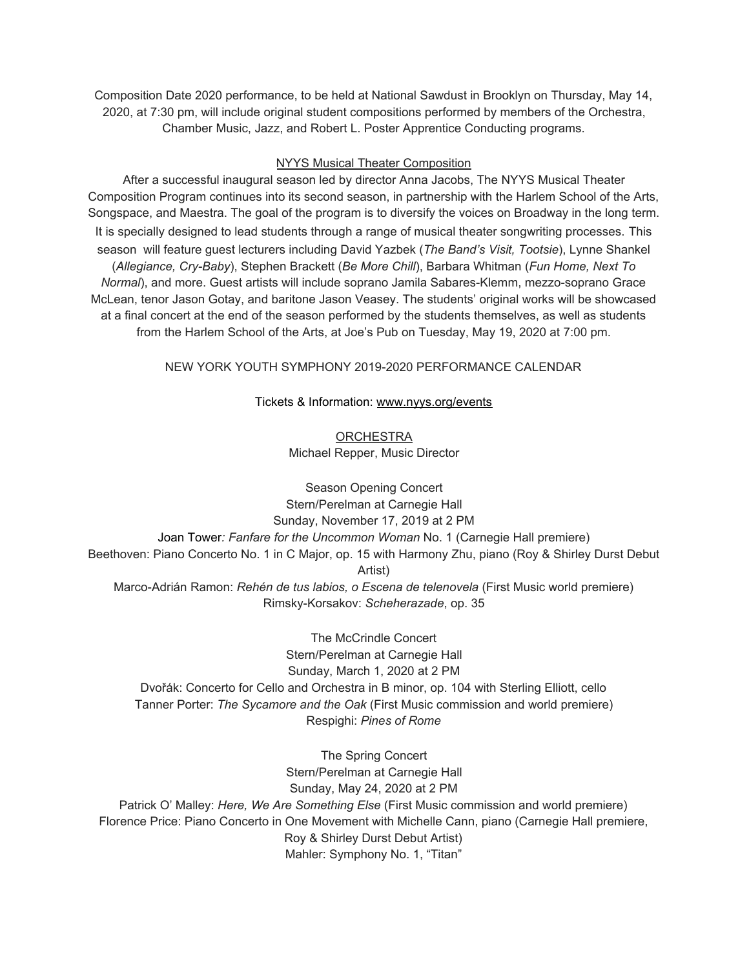Composition Date 2020 performance, to be held at National Sawdust in Brooklyn on Thursday, May 14, 2020, at 7:30 pm, will include original student compositions performed by members of the Orchestra, Chamber Music, Jazz, and Robert L. Poster Apprentice Conducting programs.

### NYYS Musical Theater Composition

After a successful inaugural season led by director Anna Jacobs, The NYYS Musical Theater Composition Program continues into its second season, in partnership with the Harlem School of the Arts, Songspace, and Maestra. The goal of the program is to diversify the voices on Broadway in the long term. It is specially designed to lead students through a range of musical theater songwriting processes. This season will feature guest lecturers including David Yazbek (*The Band's Visit, Tootsie*), Lynne Shankel (*Allegiance, Cry-Baby*), Stephen Brackett (*Be More Chill*), Barbara Whitman (*Fun Home, Next To Normal*), and more. Guest artists will include soprano Jamila Sabares-Klemm, mezzo-soprano Grace McLean, tenor Jason Gotay, and baritone Jason Veasey. The students' original works will be showcased at a final concert at the end of the season performed by the students themselves, as well as students from the Harlem School of the Arts, at Joe's Pub on Tuesday, May 19, 2020 at 7:00 pm.

# NEW YORK YOUTH SYMPHONY 2019-2020 PERFORMANCE CALENDAR

## Tickets & Information: [www.nyys.org/events](https://u7061146.ct.sendgrid.net/wf/click?upn=84Em28S1K9SvtzcUtu04EvrLdhrhz0RQ6YNkHwQNHxWFJGJNK3QN28wLTPw3yGLi_DruDjhchMBr5xQkz3h1qcOnjZc-2BCsAVhraQ7DxYhbA2-2BHLQf-2BHKWaWi2FTM7QHo-2Fd7eCMDRMAhfd2mcWSs-2FpzNW9MmuPwV7rH-2FbDd7DdSSYyjm2ytqGz2CPdtUJwsn-2BHPGmL86-2B5EOFsA-2FF8CUWT8euHf8a89ZPIfkwHlgmTKEs-2BMGmZgm-2FOOvkXZhULl0-2B5gTZ-2B-2BZqVzCFNRtYf7gePVp4RSX9KThYsRL55ea4Fflo8GziqfIzXinkxOaFvRXgf4yacqylwQEhs4rH1lSOhRBtiDnroapeokZvlH6RhrTry-2F0EVBIvssyZm-2BiAhpDLPT71lOUyWZ164Oapg-2B9yD-2F6a29K0TZSssi7ay4RwcdAI-3D)

**ORCHESTRA** Michael Repper, Music Director

Season Opening Concert Stern/Perelman at Carnegie Hall Sunday, November 17, 2019 at 2 PM Joan Tower*: Fanfare for the Uncommon Woman* No. 1 (Carnegie Hall premiere) Beethoven: Piano Concerto No. 1 in C Major, op. 15 with Harmony Zhu, piano (Roy & Shirley Durst Debut Artist) Marco-Adrián Ramon: *Rehén de tus labios, o Escena de telenovela* (First Music world premiere) Rimsky-Korsakov: *Scheherazade*, op. 35

The McCrindle Concert Stern/Perelman at Carnegie Hall Sunday, March 1, 2020 at 2 PM Dvořák: Concerto for Cello and Orchestra in B minor, op. 104 with Sterling Elliott, cello Tanner Porter: *The Sycamore and the Oak* (First Music commission and world premiere) Respighi: *Pines of Rome*

The Spring Concert Stern/Perelman at Carnegie Hall Sunday, May 24, 2020 at 2 PM Patrick O' Malley: *Here, We Are Something Else* (First Music commission and world premiere) Florence Price: Piano Concerto in One Movement with Michelle Cann, piano (Carnegie Hall premiere, Roy & Shirley Durst Debut Artist) Mahler: Symphony No. 1, "Titan"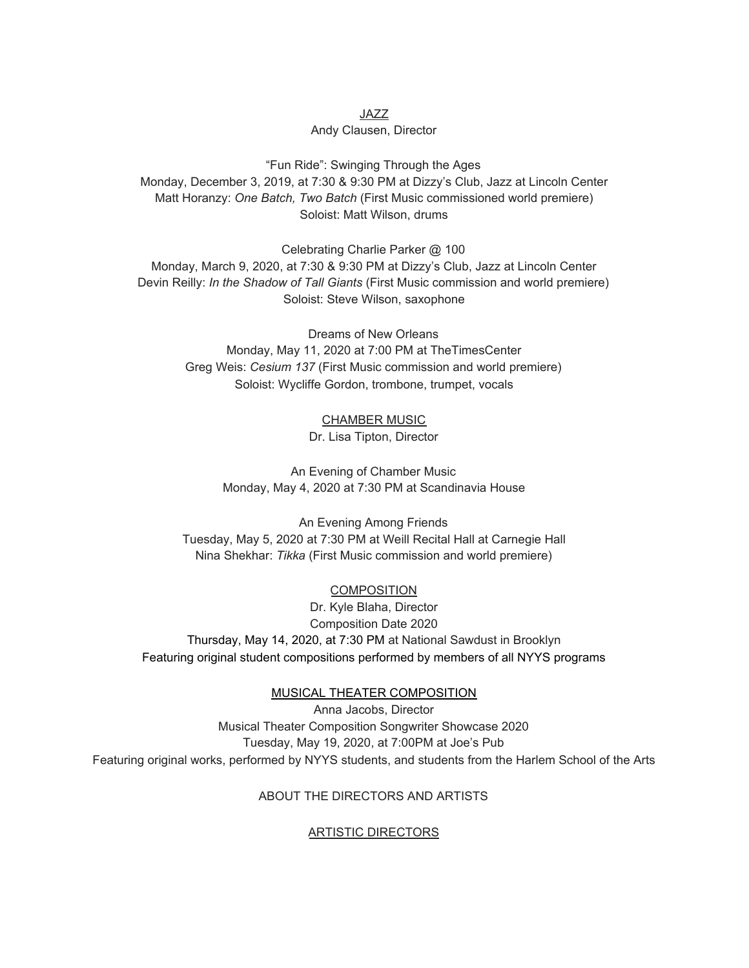# JAZZ Andy Clausen, Director

"Fun Ride": Swinging Through the Ages Monday, December 3, 2019, at 7:30 & 9:30 PM at Dizzy's Club, Jazz at Lincoln Center Matt Horanzy: *One Batch, Two Batch* (First Music commissioned world premiere) Soloist: Matt Wilson, drums

Celebrating Charlie Parker @ 100 Monday, March 9, 2020, at 7:30 & 9:30 PM at Dizzy's Club, Jazz at Lincoln Center Devin Reilly: *In the Shadow of Tall Giants* (First Music commission and world premiere) Soloist: Steve Wilson, saxophone

> Dreams of New Orleans Monday, May 11, 2020 at 7:00 PM at TheTimesCenter Greg Weis: *Cesium 137* (First Music commission and world premiere) Soloist: Wycliffe Gordon, trombone, trumpet, vocals

> > CHAMBER MUSIC Dr. Lisa Tipton, Director

An Evening of Chamber Music Monday, May 4, 2020 at 7:30 PM at Scandinavia House

An Evening Among Friends Tuesday, May 5, 2020 at 7:30 PM at Weill Recital Hall at Carnegie Hall Nina Shekhar: *Tikka* (First Music commission and world premiere)

COMPOSITION Dr. Kyle Blaha, Director Composition Date 2020 Thursday, May 14, 2020, at 7:30 PM at National Sawdust in Brooklyn Featuring original student compositions performed by members of all NYYS programs

MUSICAL THEATER COMPOSITION

Anna Jacobs, Director Musical Theater Composition Songwriter Showcase 2020 Tuesday, May 19, 2020, at 7:00PM at Joe's Pub Featuring original works, performed by NYYS students, and students from the Harlem School of the Arts

# ABOUT THE DIRECTORS AND ARTISTS

# ARTISTIC DIRECTORS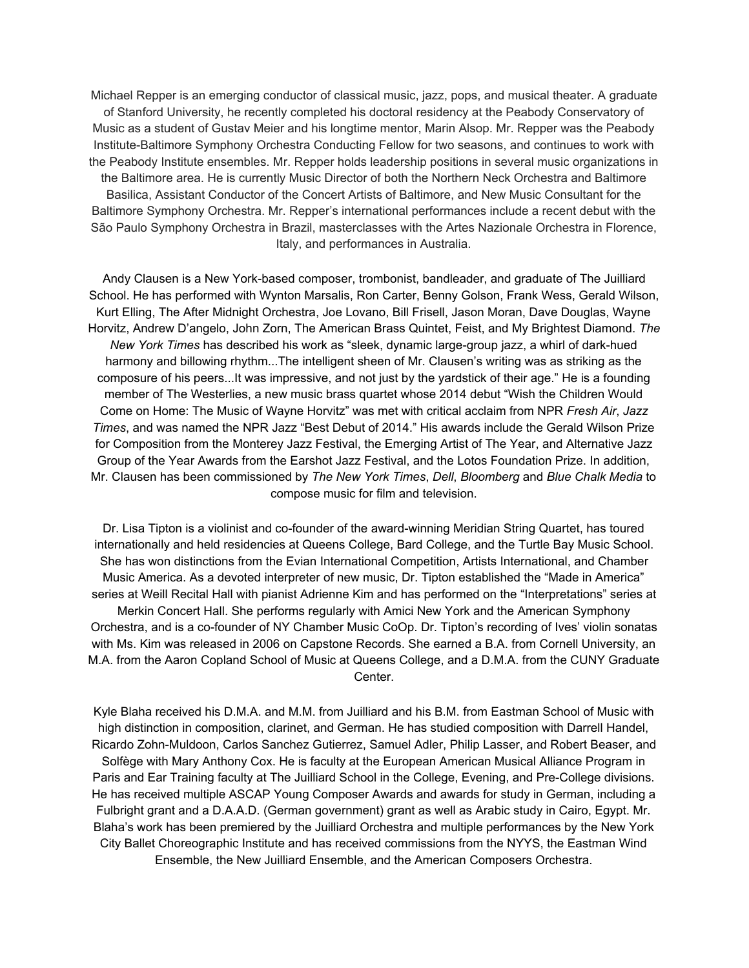Michael Repper is an emerging conductor of classical music, jazz, pops, and musical theater. A graduate of Stanford University, he recently completed his doctoral residency at the Peabody Conservatory of Music as a student of Gustav Meier and his longtime mentor, Marin Alsop. Mr. Repper was the Peabody Institute-Baltimore Symphony Orchestra Conducting Fellow for two seasons, and continues to work with the Peabody Institute ensembles. Mr. Repper holds leadership positions in several music organizations in the Baltimore area. He is currently Music Director of both the Northern Neck Orchestra and Baltimore Basilica, Assistant Conductor of the Concert Artists of Baltimore, and New Music Consultant for the Baltimore Symphony Orchestra. Mr. Repper's international performances include a recent debut with the São Paulo Symphony Orchestra in Brazil, masterclasses with the Artes Nazionale Orchestra in Florence, Italy, and performances in Australia.

Andy Clausen is a New York-based composer, trombonist, bandleader, and graduate of The Juilliard School. He has performed with Wynton Marsalis, Ron Carter, Benny Golson, Frank Wess, Gerald Wilson, Kurt Elling, The After Midnight Orchestra, Joe Lovano, Bill Frisell, Jason Moran, Dave Douglas, Wayne Horvitz, Andrew D'angelo, John Zorn, The American Brass Quintet, Feist, and My Brightest Diamond. *The New York Times* has described his work as "sleek, dynamic large-group jazz, a whirl of dark-hued harmony and billowing rhythm...The intelligent sheen of Mr. Clausen's writing was as striking as the composure of his peers...It was impressive, and not just by the yardstick of their age." He is a founding member of The Westerlies, a new music brass quartet whose 2014 debut "Wish the Children Would Come on Home: The Music of Wayne Horvitz" was met with critical acclaim from NPR *Fresh Air*, *Jazz Times*, and was named the NPR Jazz "Best Debut of 2014." His awards include the Gerald Wilson Prize for Composition from the Monterey Jazz Festival, the Emerging Artist of The Year, and Alternative Jazz Group of the Year Awards from the Earshot Jazz Festival, and the Lotos Foundation Prize. In addition, Mr. Clausen has been commissioned by *The New York Times*, *Dell*, *Bloomberg* and *Blue Chalk Media* to compose music for film and television.

Dr. Lisa Tipton is a violinist and co-founder of the award-winning Meridian String Quartet, has toured internationally and held residencies at Queens College, Bard College, and the Turtle Bay Music School. She has won distinctions from the Evian International Competition, Artists International, and Chamber Music America. As a devoted interpreter of new music, Dr. Tipton established the "Made in America" series at Weill Recital Hall with pianist Adrienne Kim and has performed on the "Interpretations" series at Merkin Concert Hall. She performs regularly with Amici New York and the American Symphony Orchestra, and is a co-founder of NY Chamber Music CoOp. Dr. Tipton's recording of Ives' violin sonatas with Ms. Kim was released in 2006 on Capstone Records. She earned a B.A. from Cornell University, an M.A. from the Aaron Copland School of Music at Queens College, and a D.M.A. from the CUNY Graduate Center.

Kyle Blaha received his D.M.A. and M.M. from Juilliard and his B.M. from Eastman School of Music with high distinction in composition, clarinet, and German. He has studied composition with Darrell Handel, Ricardo Zohn-Muldoon, Carlos Sanchez Gutierrez, Samuel Adler, Philip Lasser, and Robert Beaser, and Solfège with Mary Anthony Cox. He is faculty at the European American Musical Alliance Program in Paris and Ear Training faculty at The Juilliard School in the College, Evening, and Pre-College divisions. He has received multiple ASCAP Young Composer Awards and awards for study in German, including a Fulbright grant and a D.A.A.D. (German government) grant as well as Arabic study in Cairo, Egypt. Mr. Blaha's work has been premiered by the Juilliard Orchestra and multiple performances by the New York City Ballet Choreographic Institute and has received commissions from the NYYS, the Eastman Wind Ensemble, the New Juilliard Ensemble, and the American Composers Orchestra.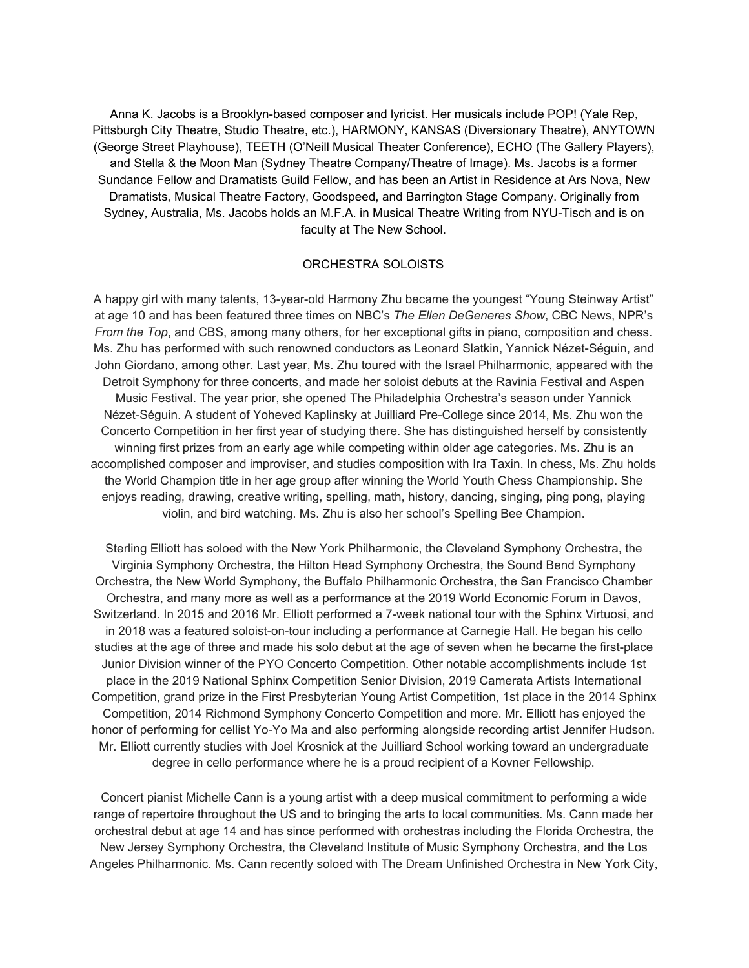Anna K. Jacobs is a Brooklyn-based composer and lyricist. Her musicals include POP! (Yale Rep, Pittsburgh City Theatre, Studio Theatre, etc.), HARMONY, KANSAS (Diversionary Theatre), ANYTOWN (George Street Playhouse), TEETH (O'Neill Musical Theater Conference), ECHO (The Gallery Players), and Stella & the Moon Man (Sydney Theatre Company/Theatre of Image). Ms. Jacobs is a former Sundance Fellow and Dramatists Guild Fellow, and has been an Artist in Residence at Ars Nova, New Dramatists, Musical Theatre Factory, Goodspeed, and Barrington Stage Company. Originally from Sydney, Australia, Ms. Jacobs holds an M.F.A. in Musical Theatre Writing from NYU-Tisch and is on faculty at The New School.

#### ORCHESTRA SOLOISTS

A happy girl with many talents, 13-year-old Harmony Zhu became the youngest "Young Steinway Artist" at age 10 and has been featured three times on NBC's *The Ellen DeGeneres Show*, CBC News, NPR's *From the Top*, and CBS, among many others, for her exceptional gifts in piano, composition and chess. Ms. Zhu has performed with such renowned conductors as Leonard Slatkin, Yannick Nézet-Séguin, and John Giordano, among other. Last year, Ms. Zhu toured with the Israel Philharmonic, appeared with the Detroit Symphony for three concerts, and made her soloist debuts at the Ravinia Festival and Aspen Music Festival. The year prior, she opened The Philadelphia Orchestra's season under Yannick Nézet-Séguin. A student of Yoheved Kaplinsky at Juilliard Pre-College since 2014, Ms. Zhu won the Concerto Competition in her first year of studying there. She has distinguished herself by consistently winning first prizes from an early age while competing within older age categories. Ms. Zhu is an accomplished composer and improviser, and studies composition with Ira Taxin. In chess, Ms. Zhu holds the World Champion title in her age group after winning the World Youth Chess Championship. She enjoys reading, drawing, creative writing, spelling, math, history, dancing, singing, ping pong, playing violin, and bird watching. Ms. Zhu is also her school's Spelling Bee Champion.

Sterling Elliott has soloed with the New York Philharmonic, the Cleveland Symphony Orchestra, the Virginia Symphony Orchestra, the Hilton Head Symphony Orchestra, the Sound Bend Symphony Orchestra, the New World Symphony, the Buffalo Philharmonic Orchestra, the San Francisco Chamber Orchestra, and many more as well as a performance at the 2019 World Economic Forum in Davos, Switzerland. In 2015 and 2016 Mr. Elliott performed a 7-week national tour with the Sphinx Virtuosi, and in 2018 was a featured soloist-on-tour including a performance at Carnegie Hall. He began his cello studies at the age of three and made his solo debut at the age of seven when he became the first-place Junior Division winner of the PYO Concerto Competition. Other notable accomplishments include 1st place in the 2019 National Sphinx Competition Senior Division, 2019 Camerata Artists International Competition, grand prize in the First Presbyterian Young Artist Competition, 1st place in the 2014 Sphinx Competition, 2014 Richmond Symphony Concerto Competition and more. Mr. Elliott has enjoyed the honor of performing for cellist Yo-Yo Ma and also performing alongside recording artist Jennifer Hudson. Mr. Elliott currently studies with Joel Krosnick at the Juilliard School working toward an undergraduate degree in cello performance where he is a proud recipient of a Kovner Fellowship.

Concert pianist Michelle Cann is a young artist with a deep musical commitment to performing a wide range of repertoire throughout the US and to bringing the arts to local communities. Ms. Cann made her orchestral debut at age 14 and has since performed with orchestras including the Florida Orchestra, the New Jersey Symphony Orchestra, the Cleveland Institute of Music Symphony Orchestra, and the Los Angeles Philharmonic. Ms. Cann recently soloed with The Dream Unfinished Orchestra in New York City,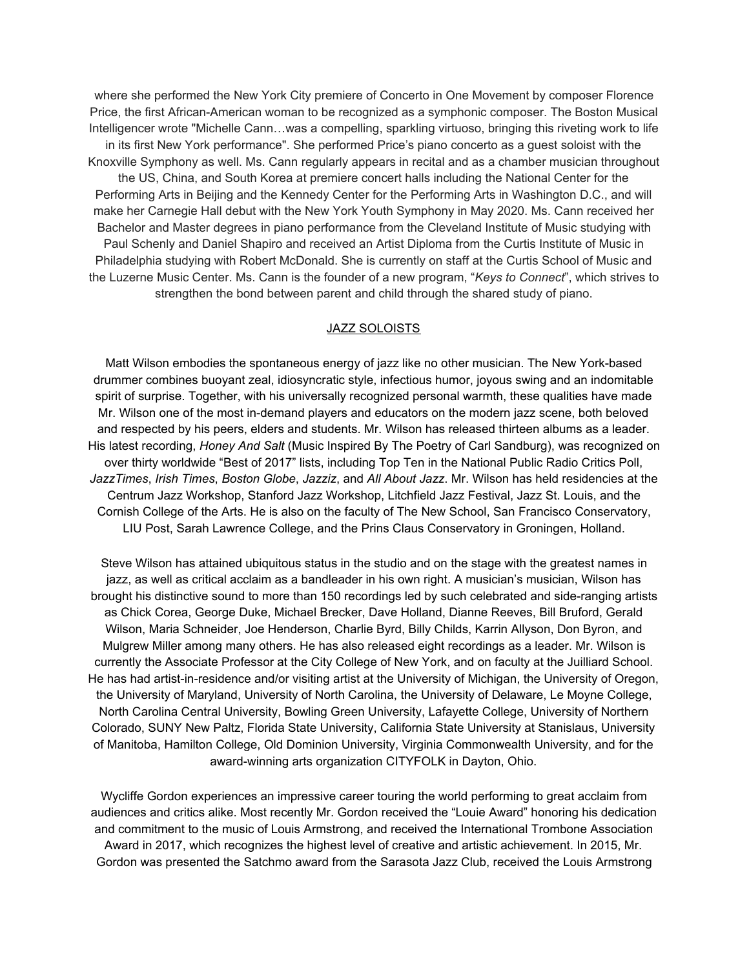where she performed the New York City premiere of Concerto in One Movement by composer Florence Price, the first African-American woman to be recognized as a symphonic composer. The Boston Musical Intelligencer wrote "Michelle Cann…was a compelling, sparkling virtuoso, bringing this riveting work to life in its first New York performance". She performed Price's piano concerto as a guest soloist with the Knoxville Symphony as well. Ms. Cann regularly appears in recital and as a chamber musician throughout the US, China, and South Korea at premiere concert halls including the National Center for the Performing Arts in Beijing and the Kennedy Center for the Performing Arts in Washington D.C., and will make her Carnegie Hall debut with the New York Youth Symphony in May 2020. Ms. Cann received her Bachelor and Master degrees in piano performance from the Cleveland Institute of Music studying with Paul Schenly and Daniel Shapiro and received an Artist Diploma from the Curtis Institute of Music in Philadelphia studying with Robert McDonald. She is currently on staff at the Curtis School of Music and the Luzerne Music Center. Ms. Cann is the founder of a new program, "*Keys to Connect*", which strives to strengthen the bond between parent and child through the shared study of piano.

#### JAZZ SOLOISTS

Matt Wilson embodies the spontaneous energy of jazz like no other musician. The New York-based drummer combines buoyant zeal, idiosyncratic style, infectious humor, joyous swing and an indomitable spirit of surprise. Together, with his universally recognized personal warmth, these qualities have made Mr. Wilson one of the most in-demand players and educators on the modern jazz scene, both beloved and respected by his peers, elders and students. Mr. Wilson has released thirteen albums as a leader. His latest recording, *Honey And Salt* (Music Inspired By The Poetry of Carl Sandburg), was recognized on over thirty worldwide "Best of 2017" lists, including Top Ten in the National Public Radio Critics Poll, *JazzTimes*, *Irish Times*, *Boston Globe*, *Jazziz*, and *All About Jazz*. Mr. Wilson has held residencies at the Centrum Jazz Workshop, Stanford Jazz Workshop, Litchfield Jazz Festival, Jazz St. Louis, and the Cornish College of the Arts. He is also on the faculty of The New School, San Francisco Conservatory, LIU Post, Sarah Lawrence College, and the Prins Claus Conservatory in Groningen, Holland.

Steve Wilson has attained ubiquitous status in the studio and on the stage with the greatest names in jazz, as well as critical acclaim as a bandleader in his own right. A musician's musician, Wilson has brought his distinctive sound to more than 150 recordings led by such celebrated and side-ranging artists as Chick Corea, George Duke, Michael Brecker, Dave Holland, Dianne Reeves, Bill Bruford, Gerald Wilson, Maria Schneider, Joe Henderson, Charlie Byrd, Billy Childs, Karrin Allyson, Don Byron, and Mulgrew Miller among many others. He has also released eight recordings as a leader. Mr. Wilson is currently the Associate Professor at the City College of New York, and on faculty at the Juilliard School. He has had artist-in-residence and/or visiting artist at the University of Michigan, the University of Oregon, the University of Maryland, University of North Carolina, the University of Delaware, Le Moyne College, North Carolina Central University, Bowling Green University, Lafayette College, University of Northern Colorado, SUNY New Paltz, Florida State University, California State University at Stanislaus, University of Manitoba, Hamilton College, Old Dominion University, Virginia Commonwealth University, and for the award-winning arts organization CITYFOLK in Dayton, Ohio.

Wycliffe Gordon experiences an impressive career touring the world performing to great acclaim from audiences and critics alike. Most recently Mr. Gordon received the "Louie Award" honoring his dedication and commitment to the music of Louis Armstrong, and received the International Trombone Association Award in 2017, which recognizes the highest level of creative and artistic achievement. In 2015, Mr. Gordon was presented the Satchmo award from the Sarasota Jazz Club, received the Louis Armstrong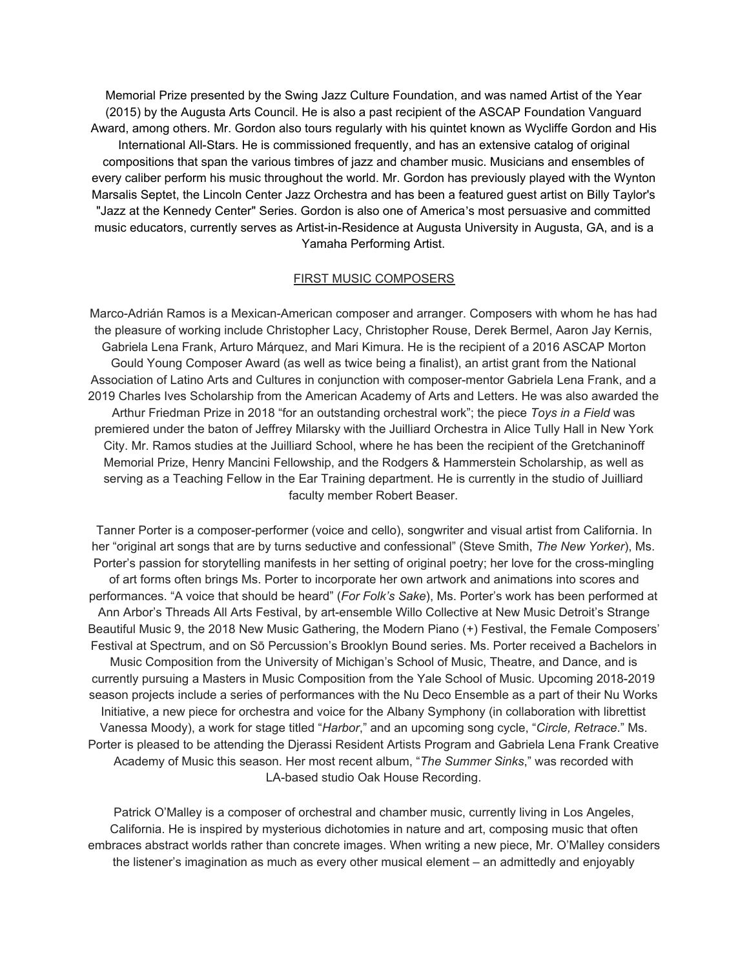Memorial Prize presented by the Swing Jazz Culture Foundation, and was named Artist of the Year (2015) by the Augusta Arts Council. He is also a past recipient of the ASCAP Foundation Vanguard Award, among others. Mr. Gordon also tours regularly with his quintet known as Wycliffe Gordon and His International All-Stars. He is commissioned frequently, and has an extensive catalog of original compositions that span the various timbres of jazz and chamber music. Musicians and ensembles of every caliber perform his music throughout the world. Mr. Gordon has previously played with the Wynton Marsalis Septet, the Lincoln Center Jazz Orchestra and has been a featured guest artist on Billy Taylor's "Jazz at the Kennedy Center" Series. Gordon is also one of America's most persuasive and committed music educators, currently serves as Artist-in-Residence at Augusta University in Augusta, GA, and is a Yamaha Performing Artist.

### FIRST MUSIC COMPOSERS

Marco-Adrián Ramos is a Mexican-American composer and arranger. Composers with whom he has had the pleasure of working include Christopher Lacy, Christopher Rouse, Derek Bermel, Aaron Jay Kernis, Gabriela Lena Frank, Arturo Márquez, and Mari Kimura. He is the recipient of a 2016 ASCAP Morton Gould Young Composer Award (as well as twice being a finalist), an artist grant from the National Association of Latino Arts and Cultures in conjunction with composer-mentor Gabriela Lena Frank, and a 2019 Charles Ives Scholarship from the American Academy of Arts and Letters. He was also awarded the Arthur Friedman Prize in 2018 "for an outstanding orchestral work"; the piece *Toys in a Field* was premiered under the baton of Jeffrey Milarsky with the Juilliard Orchestra in Alice Tully Hall in New York City. Mr. Ramos studies at the Juilliard School, where he has been the recipient of the Gretchaninoff Memorial Prize, Henry Mancini Fellowship, and the Rodgers & Hammerstein Scholarship, as well as serving as a Teaching Fellow in the Ear Training department. He is currently in the studio of Juilliard faculty member Robert Beaser.

Tanner Porter is a composer-performer (voice and cello), songwriter and visual artist from California. In her "original art songs that are by turns seductive and confessional" (Steve Smith, *The New Yorker*), Ms. Porter's passion for storytelling manifests in her setting of original poetry; her love for the cross-mingling of art forms often brings Ms. Porter to incorporate her own artwork and animations into scores and performances. "A voice that should be heard" (*For Folk's Sake*), Ms. Porter's work has been performed at Ann Arbor's Threads All Arts Festival, by art-ensemble Willo Collective at New Music Detroit's Strange Beautiful Music 9, the 2018 New Music Gathering, the Modern Piano (+) Festival, the Female Composers' Festival at Spectrum, and on Sō Percussion's Brooklyn Bound series. Ms. Porter received a Bachelors in Music Composition from the University of Michigan's School of Music, Theatre, and Dance, and is currently pursuing a Masters in Music Composition from the Yale School of Music. Upcoming 2018-2019 season projects include a series of performances with the Nu Deco Ensemble as a part of their Nu Works Initiative, a new piece for orchestra and voice for the Albany Symphony (in collaboration with librettist Vanessa Moody), a work for stage titled "*Harbor*," and an upcoming song cycle, "*Circle, Retrace*." Ms. Porter is pleased to be attending the Djerassi Resident Artists Program and Gabriela Lena Frank Creative Academy of Music this season. Her most recent album, "*The Summer Sinks*," was recorded with LA-based studio Oak House Recording.

Patrick O'Malley is a composer of orchestral and chamber music, currently living in Los Angeles, California. He is inspired by mysterious dichotomies in nature and art, composing music that often embraces abstract worlds rather than concrete images. When writing a new piece, Mr. O'Malley considers the listener's imagination as much as every other musical element – an admittedly and enjoyably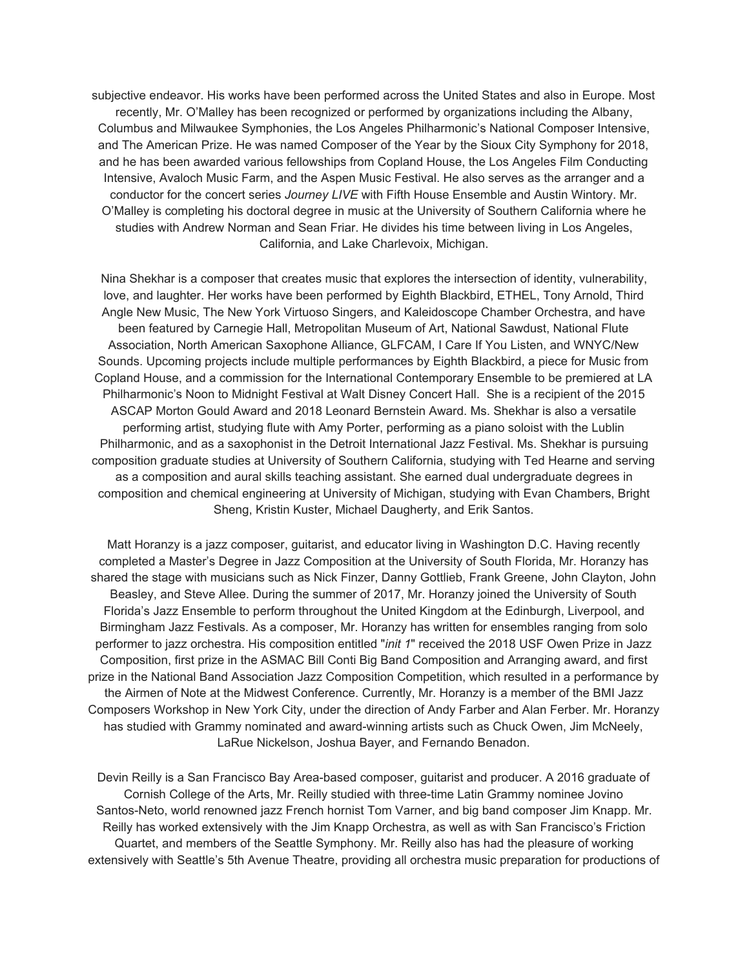subjective endeavor. His works have been performed across the United States and also in Europe. Most recently, Mr. O'Malley has been recognized or performed by organizations including the Albany, Columbus and Milwaukee Symphonies, the Los Angeles Philharmonic's National Composer Intensive, and The American Prize. He was named Composer of the Year by the Sioux City Symphony for 2018, and he has been awarded various fellowships from Copland House, the Los Angeles Film Conducting Intensive, Avaloch Music Farm, and the Aspen Music Festival. He also serves as the arranger and a conductor for the concert series *Journey LIVE* with Fifth House Ensemble and Austin Wintory. Mr. O'Malley is completing his doctoral degree in music at the University of Southern California where he studies with Andrew Norman and Sean Friar. He divides his time between living in Los Angeles, California, and Lake Charlevoix, Michigan.

Nina Shekhar is a composer that creates music that explores the intersection of identity, vulnerability, love, and laughter. Her works have been performed by Eighth Blackbird, ETHEL, Tony Arnold, Third Angle New Music, The New York Virtuoso Singers, and Kaleidoscope Chamber Orchestra, and have been featured by Carnegie Hall, Metropolitan Museum of Art, National Sawdust, National Flute Association, North American Saxophone Alliance, GLFCAM, I Care If You Listen, and WNYC/New Sounds. Upcoming projects include multiple performances by Eighth Blackbird, a piece for Music from Copland House, and a commission for the International Contemporary Ensemble to be premiered at LA Philharmonic's Noon to Midnight Festival at Walt Disney Concert Hall. She is a recipient of the 2015 ASCAP Morton Gould Award and 2018 Leonard Bernstein Award. Ms. Shekhar is also a versatile performing artist, studying flute with Amy Porter, performing as a piano soloist with the Lublin Philharmonic, and as a saxophonist in the Detroit International Jazz Festival. Ms. Shekhar is pursuing composition graduate studies at University of Southern California, studying with Ted Hearne and serving as a composition and aural skills teaching assistant. She earned dual undergraduate degrees in composition and chemical engineering at University of Michigan, studying with Evan Chambers, Bright Sheng, Kristin Kuster, Michael Daugherty, and Erik Santos.

Matt Horanzy is a jazz composer, guitarist, and educator living in Washington D.C. Having recently completed a Master's Degree in Jazz Composition at the University of South Florida, Mr. Horanzy has shared the stage with musicians such as Nick Finzer, Danny Gottlieb, Frank Greene, John Clayton, John Beasley, and Steve Allee. During the summer of 2017, Mr. Horanzy joined the University of South Florida's Jazz Ensemble to perform throughout the United Kingdom at the Edinburgh, Liverpool, and Birmingham Jazz Festivals. As a composer, Mr. Horanzy has written for ensembles ranging from solo performer to jazz orchestra. His composition entitled "*init 1*" received the 2018 USF Owen Prize in Jazz Composition, first prize in the ASMAC Bill Conti Big Band Composition and Arranging award, and first prize in the National Band Association Jazz Composition Competition, which resulted in a performance by the Airmen of Note at the Midwest Conference. Currently, Mr. Horanzy is a member of the BMI Jazz Composers Workshop in New York City, under the direction of Andy Farber and Alan Ferber. Mr. Horanzy has studied with Grammy nominated and award-winning artists such as Chuck Owen, Jim McNeely, LaRue Nickelson, Joshua Bayer, and Fernando Benadon.

Devin Reilly is a San Francisco Bay Area-based composer, guitarist and producer. A 2016 graduate of Cornish College of the Arts, Mr. Reilly studied with three-time Latin Grammy nominee Jovino Santos-Neto, world renowned jazz French hornist Tom Varner, and big band composer Jim Knapp. Mr. Reilly has worked extensively with the Jim Knapp Orchestra, as well as with San Francisco's Friction Quartet, and members of the Seattle Symphony. Mr. Reilly also has had the pleasure of working extensively with Seattle's 5th Avenue Theatre, providing all orchestra music preparation for productions of